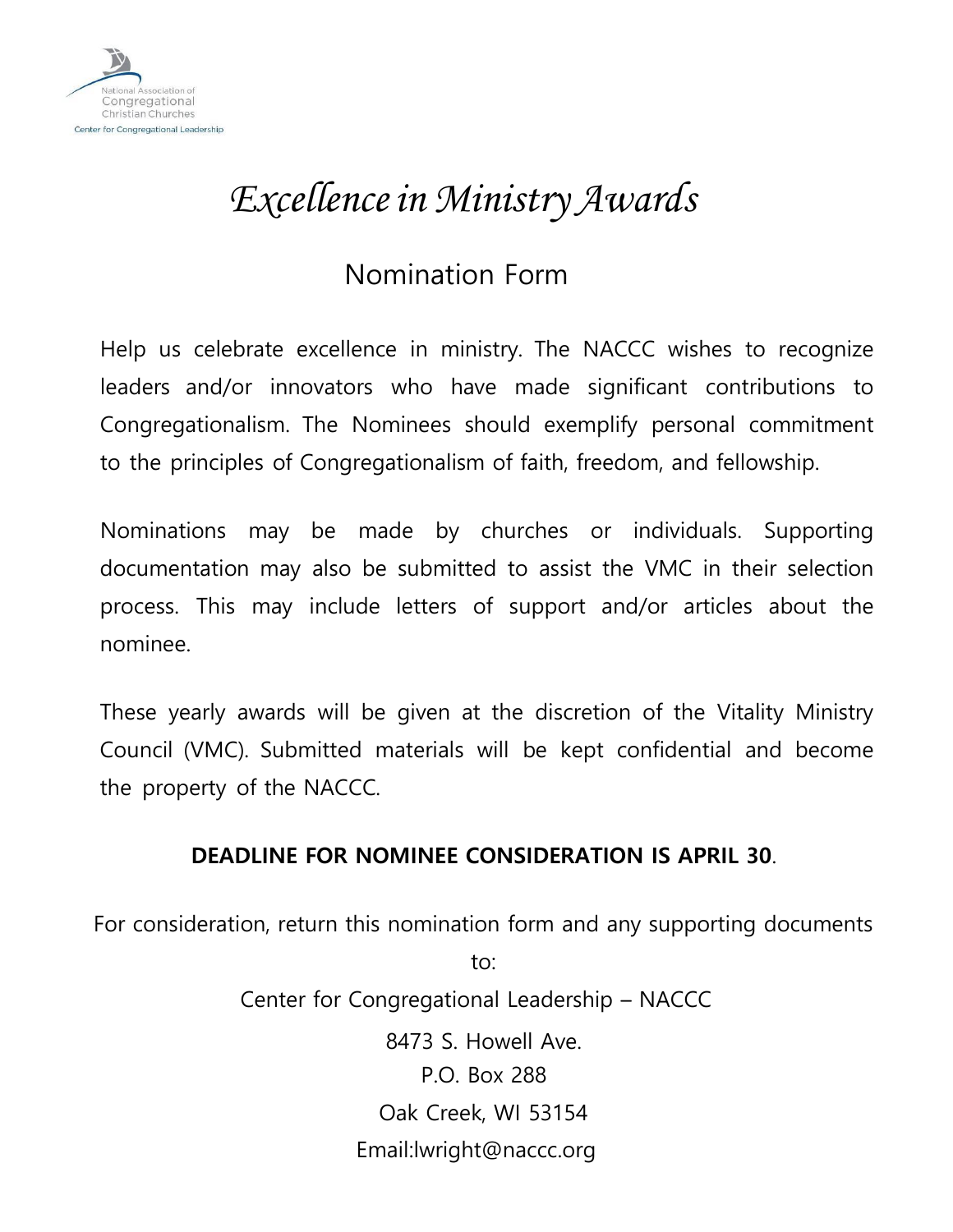

## *Excellencein Ministry Awards*

## Nomination Form

Help us celebrate excellence in ministry. The NACCC wishes to recognize leaders and/or innovators who have made significant contributions to Congregationalism. The Nominees should exemplify personal commitment to the principles of Congregationalism of faith, freedom, and fellowship.

Nominations may be made by churches or individuals. Supporting documentation may also be submitted to assist the VMC in their selection process. This may include letters of support and/or articles about the nominee.

These yearly awards will be given at the discretion of the Vitality Ministry Council (VMC). Submitted materials will be kept confidential and become the property of the NACCC.

## **DEADLINE FOR NOMINEE CONSIDERATION IS APRIL 30**.

For consideration, return this nomination form and any supporting documents

to:

Center for Congregational Leadership – NACCC 8473 S. Howell Ave. P.O. Box 288 Oak Creek, WI 53154 Email:lwright@naccc.org